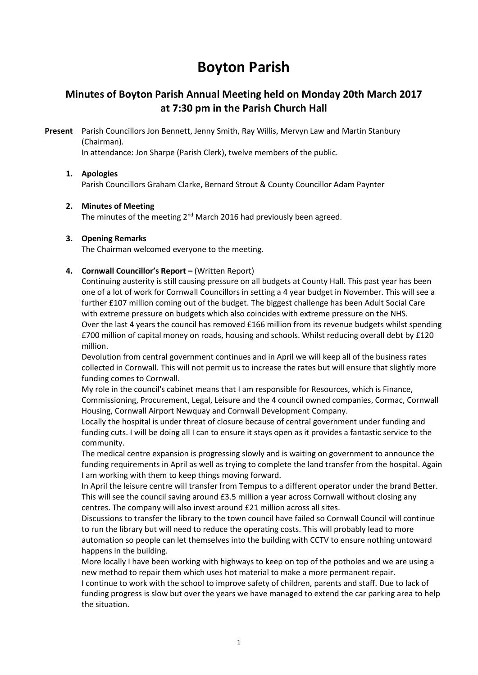# Boyton Parish

## Minutes of Boyton Parish Annual Meeting held on Monday 20th March 2017 at 7:30 pm in the Parish Church Hall

Present Parish Councillors Jon Bennett, Jenny Smith, Ray Willis, Mervyn Law and Martin Stanbury (Chairman).

In attendance: Jon Sharpe (Parish Clerk), twelve members of the public.

#### 1. Apologies

Parish Councillors Graham Clarke, Bernard Strout & County Councillor Adam Paynter

#### 2. Minutes of Meeting

The minutes of the meeting 2<sup>nd</sup> March 2016 had previously been agreed.

#### 3. Opening Remarks

The Chairman welcomed everyone to the meeting.

#### 4. Cornwall Councillor's Report – (Written Report)

Continuing austerity is still causing pressure on all budgets at County Hall. This past year has been one of a lot of work for Cornwall Councillors in setting a 4 year budget in November. This will see a further £107 million coming out of the budget. The biggest challenge has been Adult Social Care with extreme pressure on budgets which also coincides with extreme pressure on the NHS. Over the last 4 years the council has removed £166 million from its revenue budgets whilst spending £700 million of capital money on roads, housing and schools. Whilst reducing overall debt by £120 million.

Devolution from central government continues and in April we will keep all of the business rates collected in Cornwall. This will not permit us to increase the rates but will ensure that slightly more funding comes to Cornwall.

My role in the council's cabinet means that I am responsible for Resources, which is Finance, Commissioning, Procurement, Legal, Leisure and the 4 council owned companies, Cormac, Cornwall Housing, Cornwall Airport Newquay and Cornwall Development Company.

Locally the hospital is under threat of closure because of central government under funding and funding cuts. I will be doing all I can to ensure it stays open as it provides a fantastic service to the community.

The medical centre expansion is progressing slowly and is waiting on government to announce the funding requirements in April as well as trying to complete the land transfer from the hospital. Again I am working with them to keep things moving forward.

In April the leisure centre will transfer from Tempus to a different operator under the brand Better. This will see the council saving around £3.5 million a year across Cornwall without closing any centres. The company will also invest around £21 million across all sites.

Discussions to transfer the library to the town council have failed so Cornwall Council will continue to run the library but will need to reduce the operating costs. This will probably lead to more automation so people can let themselves into the building with CCTV to ensure nothing untoward happens in the building.

More locally I have been working with highways to keep on top of the potholes and we are using a new method to repair them which uses hot material to make a more permanent repair.

I continue to work with the school to improve safety of children, parents and staff. Due to lack of funding progress is slow but over the years we have managed to extend the car parking area to help the situation.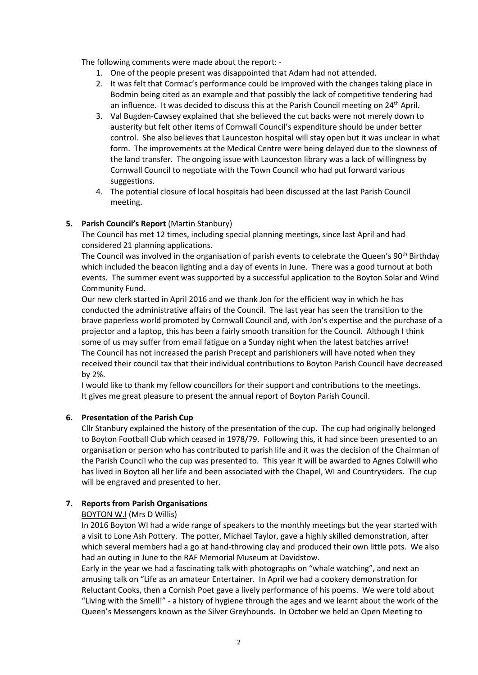The following comments were made about the report: -

- 1. One of the people present was disappointed that Adam had not attended.
- 2. It was felt that Cormac's performance could be improved with the changes taking place in Bodmin being cited as an example and that possibly the lack of competitive tendering had an influence. It was decided to discuss this at the Parish Council meeting on  $24<sup>th</sup>$  April.
- 3. Val Bugden-Cawsey explained that she believed the cut backs were not merely down to austerity but felt other items of Cornwall Council's expenditure should be under better control. She also believes that Launceston hospital will stay open but it was unclear in what form. The improvements at the Medical Centre were being delayed due to the slowness of the land transfer. The ongoing issue with Launceston library was a lack of willingness by Cornwall Council to negotiate with the Town Council who had put forward various suggestions.
- 4. The potential closure of local hospitals had been discussed at the last Parish Council meeting.

## 5. Parish Council's Report (Martin Stanbury)

The Council has met 12 times, including special planning meetings, since last April and had considered 21 planning applications.

The Council was involved in the organisation of parish events to celebrate the Queen's 90<sup>th</sup> Birthday which included the beacon lighting and a day of events in June. There was a good turnout at both events. The summer event was supported by a successful application to the Boyton Solar and Wind Community Fund.

Our new clerk started in April 2016 and we thank Jon for the efficient way in which he has conducted the administrative affairs of the Council. The last year has seen the transition to the brave paperless world promoted by Cornwall Council and, with Jon's expertise and the purchase of a projector and a laptop, this has been a fairly smooth transition for the Council. Although I think some of us may suffer from email fatigue on a Sunday night when the latest batches arrive! The Council has not increased the parish Precept and parishioners will have noted when they received their council tax that their individual contributions to Boyton Parish Council have decreased by 2%.

I would like to thank my fellow councillors for their support and contributions to the meetings. It gives me great pleasure to present the annual report of Boyton Parish Council.

#### 6. Presentation of the Parish Cup

Cllr Stanbury explained the history of the presentation of the cup. The cup had originally belonged to Boyton Football Club which ceased in 1978/79. Following this, it had since been presented to an organisation or person who has contributed to parish life and it was the decision of the Chairman of the Parish Council who the cup was presented to. This year it will be awarded to Agnes Colwill who has lived in Boyton all her life and been associated with the Chapel, WI and Countrysiders. The cup will be engraved and presented to her.

## 7. Reports from Parish Organisations

#### BOYTON W.I (Mrs D Willis)

In 2016 Boyton WI had a wide range of speakers to the monthly meetings but the year started with a visit to Lone Ash Pottery. The potter, Michael Taylor, gave a highly skilled demonstration, after which several members had a go at hand-throwing clay and produced their own little pots. We also had an outing in June to the RAF Memorial Museum at Davidstow.

Early in the year we had a fascinating talk with photographs on "whale watching", and next an amusing talk on "Life as an amateur Entertainer. In April we had a cookery demonstration for Reluctant Cooks, then a Cornish Poet gave a lively performance of his poems. We were told about "Living with the Smell!" - a history of hygiene through the ages and we learnt about the work of the Queen's Messengers known as the Silver Greyhounds. In October we held an Open Meeting to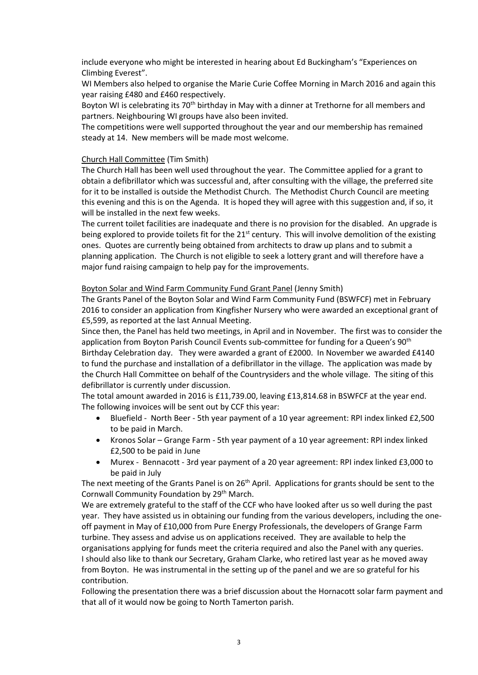include everyone who might be interested in hearing about Ed Buckingham's "Experiences on Climbing Everest".

WI Members also helped to organise the Marie Curie Coffee Morning in March 2016 and again this year raising £480 and £460 respectively.

Boyton WI is celebrating its 70<sup>th</sup> birthday in May with a dinner at Trethorne for all members and partners. Neighbouring WI groups have also been invited.

The competitions were well supported throughout the year and our membership has remained steady at 14. New members will be made most welcome.

#### Church Hall Committee (Tim Smith)

The Church Hall has been well used throughout the year. The Committee applied for a grant to obtain a defibrillator which was successful and, after consulting with the village, the preferred site for it to be installed is outside the Methodist Church. The Methodist Church Council are meeting this evening and this is on the Agenda. It is hoped they will agree with this suggestion and, if so, it will be installed in the next few weeks.

The current toilet facilities are inadequate and there is no provision for the disabled. An upgrade is being explored to provide toilets fit for the 21<sup>st</sup> century. This will involve demolition of the existing ones. Quotes are currently being obtained from architects to draw up plans and to submit a planning application. The Church is not eligible to seek a lottery grant and will therefore have a major fund raising campaign to help pay for the improvements.

#### Boyton Solar and Wind Farm Community Fund Grant Panel (Jenny Smith)

The Grants Panel of the Boyton Solar and Wind Farm Community Fund (BSWFCF) met in February 2016 to consider an application from Kingfisher Nursery who were awarded an exceptional grant of £5,599, as reported at the last Annual Meeting.

Since then, the Panel has held two meetings, in April and in November. The first was to consider the application from Boyton Parish Council Events sub-committee for funding for a Queen's 90<sup>th</sup> Birthday Celebration day. They were awarded a grant of £2000. In November we awarded £4140 to fund the purchase and installation of a defibrillator in the village. The application was made by the Church Hall Committee on behalf of the Countrysiders and the whole village. The siting of this defibrillator is currently under discussion.

The total amount awarded in 2016 is £11,739.00, leaving £13,814.68 in BSWFCF at the year end. The following invoices will be sent out by CCF this year:

- Bluefield North Beer 5th year payment of a 10 year agreement: RPI index linked £2,500 to be paid in March.
- Kronos Solar Grange Farm 5th year payment of a 10 year agreement: RPI index linked £2,500 to be paid in June
- Murex Bennacott 3rd year payment of a 20 year agreement: RPI index linked £3,000 to be paid in July

The next meeting of the Grants Panel is on 26<sup>th</sup> April. Applications for grants should be sent to the Cornwall Community Foundation by 29<sup>th</sup> March.

We are extremely grateful to the staff of the CCF who have looked after us so well during the past year. They have assisted us in obtaining our funding from the various developers, including the oneoff payment in May of £10,000 from Pure Energy Professionals, the developers of Grange Farm turbine. They assess and advise us on applications received. They are available to help the organisations applying for funds meet the criteria required and also the Panel with any queries. I should also like to thank our Secretary, Graham Clarke, who retired last year as he moved away from Boyton. He was instrumental in the setting up of the panel and we are so grateful for his contribution.

Following the presentation there was a brief discussion about the Hornacott solar farm payment and that all of it would now be going to North Tamerton parish.